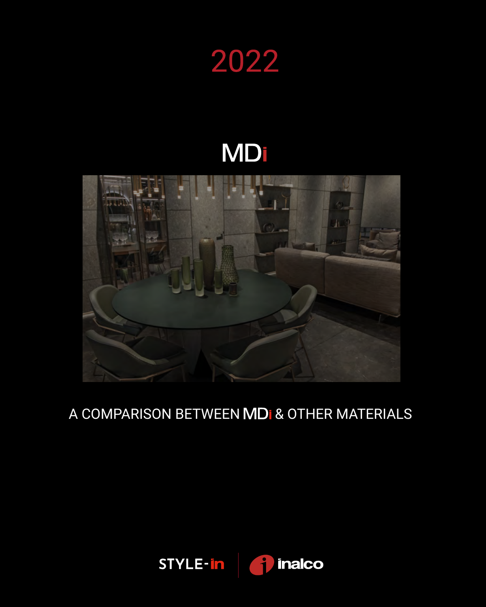

## **MD**



## A COMPARISON BETWEEN MDI & OTHER MATERIALS

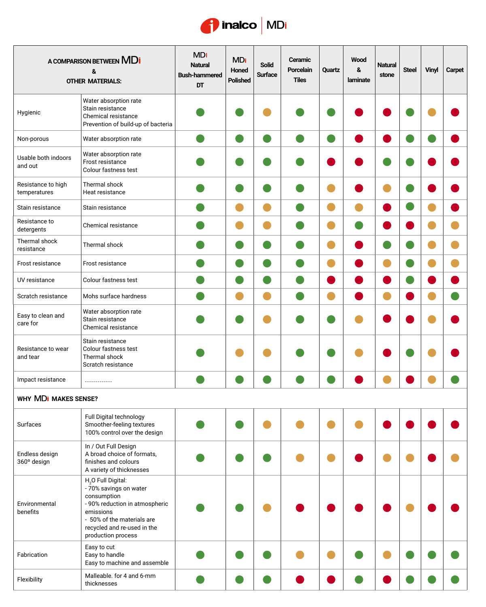

| A COMPARISON BETWEEN MDI<br>&<br><b>OTHER MATERIALS:</b> |                                                                                                                                                                                                           | <b>MDI</b><br><b>Natural</b><br><b>Bush-hammered</b><br>DT | <b>MDI</b><br>Honed<br>Polished | <b>Solid</b><br><b>Surface</b> | Ceramic<br>Porcelain<br><b>Tiles</b> | Quartz | <b>Wood</b><br>&<br>laminate | <b>Natural</b><br>stone | <b>Steel</b> | <b>Vinyl</b> | Carpet |
|----------------------------------------------------------|-----------------------------------------------------------------------------------------------------------------------------------------------------------------------------------------------------------|------------------------------------------------------------|---------------------------------|--------------------------------|--------------------------------------|--------|------------------------------|-------------------------|--------------|--------------|--------|
| Hygienic                                                 | Water absorption rate<br>Stain resistance<br>Chemical resistance<br>Prevention of build-up of bacteria                                                                                                    |                                                            |                                 |                                |                                      |        |                              |                         |              |              |        |
| Non-porous                                               | Water absorption rate                                                                                                                                                                                     |                                                            |                                 |                                |                                      |        |                              |                         |              |              |        |
| Usable both indoors<br>and out                           | Water absorption rate<br>Frost resistance<br>Colour fastness test                                                                                                                                         |                                                            |                                 |                                |                                      |        |                              |                         |              |              |        |
| Resistance to high<br>temperatures                       | Thermal shock<br>Heat resistance                                                                                                                                                                          |                                                            |                                 |                                |                                      |        |                              |                         |              |              |        |
| Stain resistance                                         | Stain resistance                                                                                                                                                                                          |                                                            |                                 |                                |                                      |        |                              |                         |              |              |        |
| Resistance to<br>detergents                              | Chemical resistance                                                                                                                                                                                       |                                                            |                                 |                                |                                      |        |                              |                         |              |              |        |
| Thermal shock<br>resistance                              | Thermal shock                                                                                                                                                                                             |                                                            |                                 |                                |                                      |        |                              |                         |              |              |        |
| Frost resistance                                         | Frost resistance                                                                                                                                                                                          |                                                            |                                 |                                |                                      |        |                              |                         |              |              |        |
| UV resistance                                            | Colour fastness test                                                                                                                                                                                      |                                                            |                                 |                                |                                      |        |                              |                         |              |              |        |
| Scratch resistance                                       | Mohs surface hardness                                                                                                                                                                                     |                                                            |                                 |                                |                                      |        |                              |                         |              |              |        |
| Easy to clean and<br>care for                            | Water absorption rate<br>Stain resistance<br>Chemical resistance                                                                                                                                          |                                                            |                                 |                                |                                      |        |                              |                         |              |              |        |
| Resistance to wear<br>and tear                           | Stain resistance<br>Colour fastness test<br>Thermal shock<br>Scratch resistance                                                                                                                           |                                                            |                                 |                                |                                      |        |                              |                         |              |              |        |
| Impact resistance                                        | --------------                                                                                                                                                                                            |                                                            |                                 |                                |                                      |        |                              |                         |              |              |        |
| <b>WHY MDI MAKES SENSE?</b>                              |                                                                                                                                                                                                           |                                                            |                                 |                                |                                      |        |                              |                         |              |              |        |
| Surfaces                                                 | Full Digital technology<br>Smoother-feeling textures<br>100% control over the design                                                                                                                      |                                                            |                                 |                                |                                      |        |                              |                         |              |              |        |
| Endless design<br>360° design                            | In / Out Full Design<br>A broad choice of formats,<br>finishes and colours<br>A variety of thicknesses                                                                                                    |                                                            |                                 |                                |                                      |        |                              |                         |              |              |        |
| Environmental<br>benefits                                | H <sub>2</sub> O Full Digital:<br>- 70% savings on water<br>consumption<br>- 90% reduction in atmospheric<br>emissions<br>- 50% of the materials are<br>recycled and re-used in the<br>production process |                                                            |                                 |                                |                                      |        |                              |                         |              |              |        |
| Fabrication                                              | Easy to cut<br>Easy to handle<br>Easy to machine and assemble                                                                                                                                             |                                                            |                                 |                                |                                      |        |                              |                         |              |              |        |
| Flexibility                                              | Malleable. for 4 and 6-mm<br>thicknesses                                                                                                                                                                  |                                                            |                                 |                                |                                      |        |                              |                         |              |              |        |